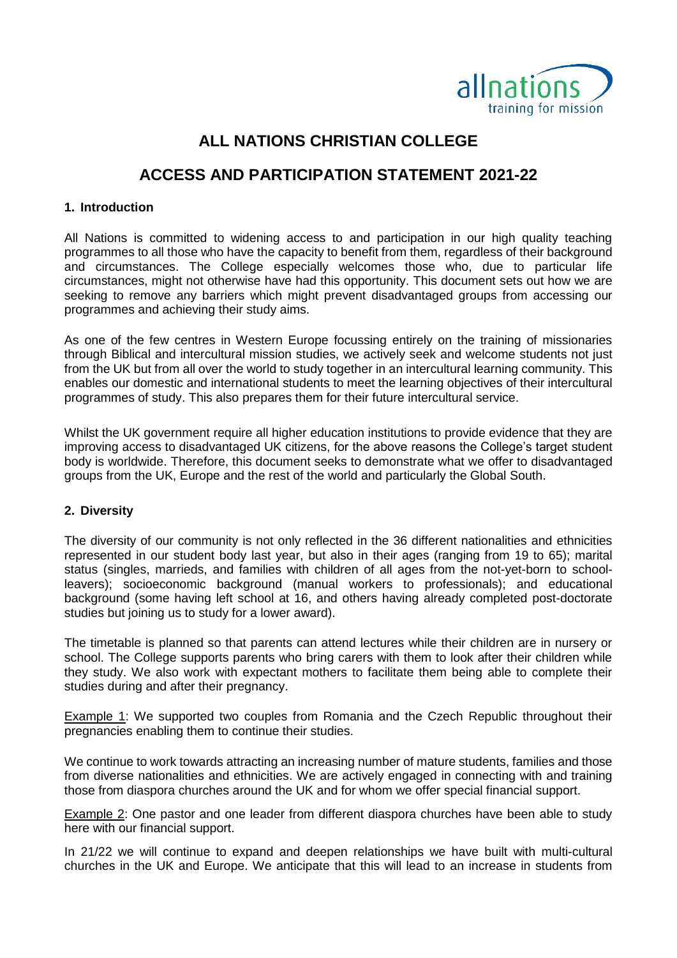

## **ALL NATIONS CHRISTIAN COLLEGE**

# **ACCESS AND PARTICIPATION STATEMENT 2021-22**

#### **1. Introduction**

All Nations is committed to widening access to and participation in our high quality teaching programmes to all those who have the capacity to benefit from them, regardless of their background and circumstances. The College especially welcomes those who, due to particular life circumstances, might not otherwise have had this opportunity. This document sets out how we are seeking to remove any barriers which might prevent disadvantaged groups from accessing our programmes and achieving their study aims.

As one of the few centres in Western Europe focussing entirely on the training of missionaries through Biblical and intercultural mission studies, we actively seek and welcome students not just from the UK but from all over the world to study together in an intercultural learning community. This enables our domestic and international students to meet the learning objectives of their intercultural programmes of study. This also prepares them for their future intercultural service.

Whilst the UK government require all higher education institutions to provide evidence that they are improving access to disadvantaged UK citizens, for the above reasons the College's target student body is worldwide. Therefore, this document seeks to demonstrate what we offer to disadvantaged groups from the UK, Europe and the rest of the world and particularly the Global South.

#### **2. Diversity**

The diversity of our community is not only reflected in the 36 different nationalities and ethnicities represented in our student body last year, but also in their ages (ranging from 19 to 65); marital status (singles, marrieds, and families with children of all ages from the not-yet-born to schoolleavers); socioeconomic background (manual workers to professionals); and educational background (some having left school at 16, and others having already completed post-doctorate studies but joining us to study for a lower award).

The timetable is planned so that parents can attend lectures while their children are in nursery or school. The College supports parents who bring carers with them to look after their children while they study. We also work with expectant mothers to facilitate them being able to complete their studies during and after their pregnancy.

Example 1: We supported two couples from Romania and the Czech Republic throughout their pregnancies enabling them to continue their studies.

We continue to work towards attracting an increasing number of mature students, families and those from diverse nationalities and ethnicities. We are actively engaged in connecting with and training those from diaspora churches around the UK and for whom we offer special financial support.

Example 2: One pastor and one leader from different diaspora churches have been able to study here with our financial support.

In 21/22 we will continue to expand and deepen relationships we have built with multi-cultural churches in the UK and Europe. We anticipate that this will lead to an increase in students from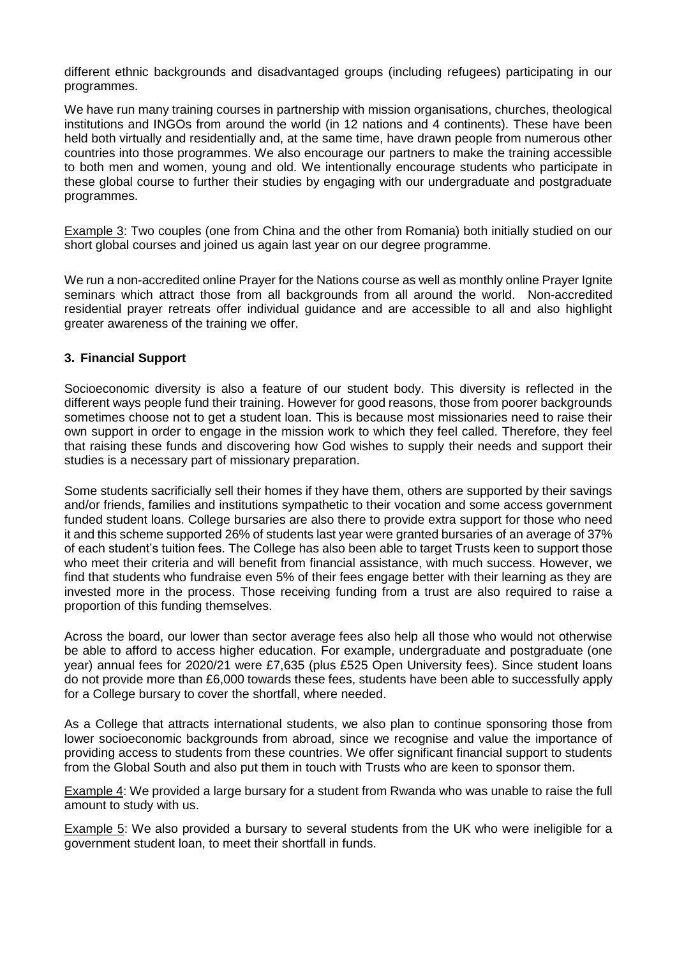different ethnic backgrounds and disadvantaged groups (including refugees) participating in our programmes.

We have run many training courses in partnership with mission organisations, churches, theological institutions and INGOs from around the world (in 12 nations and 4 continents). These have been held both virtually and residentially and, at the same time, have drawn people from numerous other countries into those programmes. We also encourage our partners to make the training accessible to both men and women, young and old. We intentionally encourage students who participate in these global course to further their studies by engaging with our undergraduate and postgraduate programmes.

Example 3: Two couples (one from China and the other from Romania) both initially studied on our short global courses and joined us again last year on our degree programme.

We run a non-accredited online Prayer for the Nations course as well as monthly online Prayer Ignite seminars which attract those from all backgrounds from all around the world. Non-accredited residential prayer retreats offer individual guidance and are accessible to all and also highlight greater awareness of the training we offer.

## **3. Financial Support**

Socioeconomic diversity is also a feature of our student body. This diversity is reflected in the different ways people fund their training. However for good reasons, those from poorer backgrounds sometimes choose not to get a student loan. This is because most missionaries need to raise their own support in order to engage in the mission work to which they feel called. Therefore, they feel that raising these funds and discovering how God wishes to supply their needs and support their studies is a necessary part of missionary preparation.

Some students sacrificially sell their homes if they have them, others are supported by their savings and/or friends, families and institutions sympathetic to their vocation and some access government funded student loans. College bursaries are also there to provide extra support for those who need it and this scheme supported 26% of students last year were granted bursaries of an average of 37% of each student's tuition fees. The College has also been able to target Trusts keen to support those who meet their criteria and will benefit from financial assistance, with much success. However, we find that students who fundraise even 5% of their fees engage better with their learning as they are invested more in the process. Those receiving funding from a trust are also required to raise a proportion of this funding themselves.

Across the board, our lower than sector average fees also help all those who would not otherwise be able to afford to access higher education. For example, undergraduate and postgraduate (one year) annual fees for 2020/21 were £7,635 (plus £525 Open University fees). Since student loans do not provide more than £6,000 towards these fees, students have been able to successfully apply for a College bursary to cover the shortfall, where needed.

As a College that attracts international students, we also plan to continue sponsoring those from lower socioeconomic backgrounds from abroad, since we recognise and value the importance of providing access to students from these countries. We offer significant financial support to students from the Global South and also put them in touch with Trusts who are keen to sponsor them.

Example 4: We provided a large bursary for a student from Rwanda who was unable to raise the full amount to study with us.

Example 5: We also provided a bursary to several students from the UK who were ineligible for a government student loan, to meet their shortfall in funds.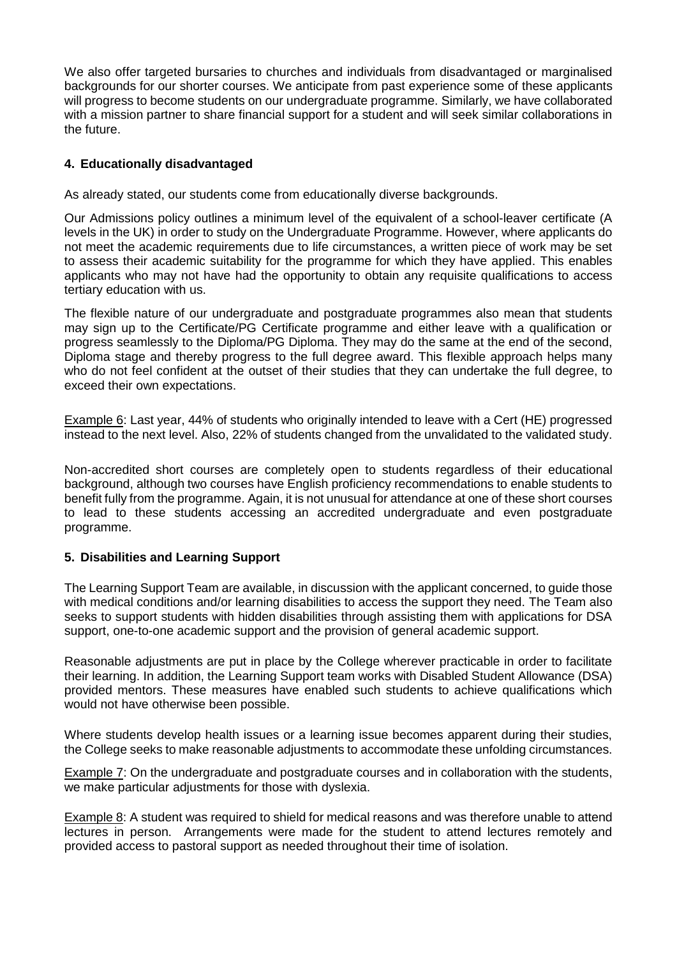We also offer targeted bursaries to churches and individuals from disadvantaged or marginalised backgrounds for our shorter courses. We anticipate from past experience some of these applicants will progress to become students on our undergraduate programme. Similarly, we have collaborated with a mission partner to share financial support for a student and will seek similar collaborations in the future.

## **4. Educationally disadvantaged**

As already stated, our students come from educationally diverse backgrounds.

Our Admissions policy outlines a minimum level of the equivalent of a school-leaver certificate (A levels in the UK) in order to study on the Undergraduate Programme. However, where applicants do not meet the academic requirements due to life circumstances, a written piece of work may be set to assess their academic suitability for the programme for which they have applied. This enables applicants who may not have had the opportunity to obtain any requisite qualifications to access tertiary education with us.

The flexible nature of our undergraduate and postgraduate programmes also mean that students may sign up to the Certificate/PG Certificate programme and either leave with a qualification or progress seamlessly to the Diploma/PG Diploma. They may do the same at the end of the second, Diploma stage and thereby progress to the full degree award. This flexible approach helps many who do not feel confident at the outset of their studies that they can undertake the full degree, to exceed their own expectations.

Example 6: Last year, 44% of students who originally intended to leave with a Cert (HE) progressed instead to the next level. Also, 22% of students changed from the unvalidated to the validated study.

Non-accredited short courses are completely open to students regardless of their educational background, although two courses have English proficiency recommendations to enable students to benefit fully from the programme. Again, it is not unusual for attendance at one of these short courses to lead to these students accessing an accredited undergraduate and even postgraduate programme.

#### **5. Disabilities and Learning Support**

The Learning Support Team are available, in discussion with the applicant concerned, to guide those with medical conditions and/or learning disabilities to access the support they need. The Team also seeks to support students with hidden disabilities through assisting them with applications for DSA support, one-to-one academic support and the provision of general academic support.

Reasonable adjustments are put in place by the College wherever practicable in order to facilitate their learning. In addition, the Learning Support team works with Disabled Student Allowance (DSA) provided mentors. These measures have enabled such students to achieve qualifications which would not have otherwise been possible.

Where students develop health issues or a learning issue becomes apparent during their studies, the College seeks to make reasonable adjustments to accommodate these unfolding circumstances.

Example 7: On the undergraduate and postgraduate courses and in collaboration with the students, we make particular adjustments for those with dyslexia.

Example 8: A student was required to shield for medical reasons and was therefore unable to attend lectures in person. Arrangements were made for the student to attend lectures remotely and provided access to pastoral support as needed throughout their time of isolation.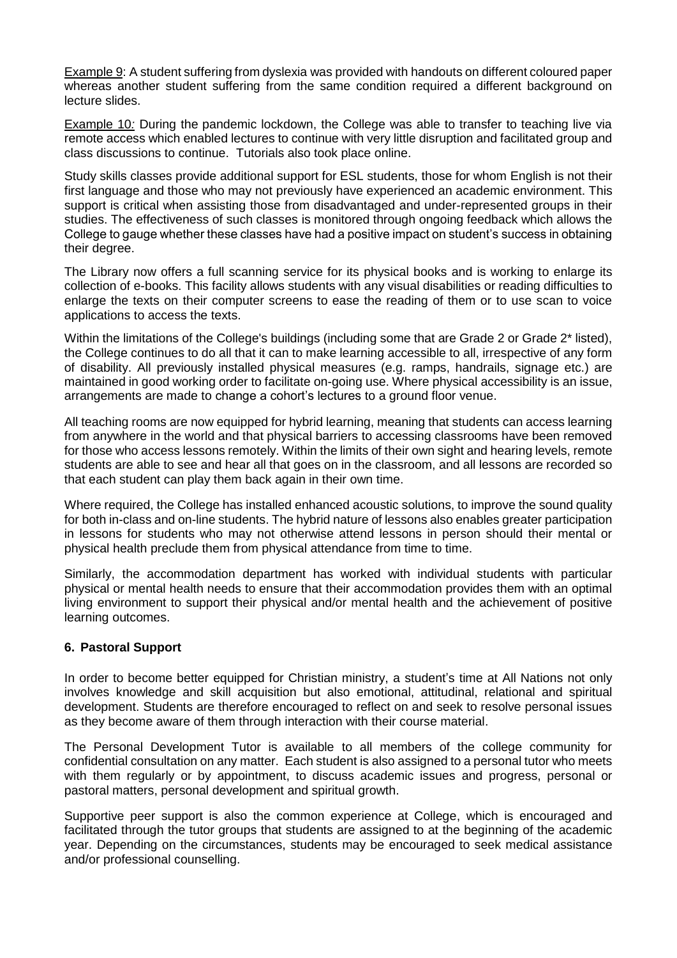Example 9: A student suffering from dyslexia was provided with handouts on different coloured paper whereas another student suffering from the same condition required a different background on lecture slides.

Example 10*:* During the pandemic lockdown, the College was able to transfer to teaching live via remote access which enabled lectures to continue with very little disruption and facilitated group and class discussions to continue. Tutorials also took place online.

Study skills classes provide additional support for ESL students, those for whom English is not their first language and those who may not previously have experienced an academic environment. This support is critical when assisting those from disadvantaged and under-represented groups in their studies. The effectiveness of such classes is monitored through ongoing feedback which allows the College to gauge whether these classes have had a positive impact on student's success in obtaining their degree.

The Library now offers a full scanning service for its physical books and is working to enlarge its collection of e-books. This facility allows students with any visual disabilities or reading difficulties to enlarge the texts on their computer screens to ease the reading of them or to use scan to voice applications to access the texts.

Within the limitations of the College's buildings (including some that are Grade 2 or Grade 2<sup>\*</sup> listed), the College continues to do all that it can to make learning accessible to all, irrespective of any form of disability. All previously installed physical measures (e.g. ramps, handrails, signage etc.) are maintained in good working order to facilitate on-going use. Where physical accessibility is an issue, arrangements are made to change a cohort's lectures to a ground floor venue.

All teaching rooms are now equipped for hybrid learning, meaning that students can access learning from anywhere in the world and that physical barriers to accessing classrooms have been removed for those who access lessons remotely. Within the limits of their own sight and hearing levels, remote students are able to see and hear all that goes on in the classroom, and all lessons are recorded so that each student can play them back again in their own time.

Where required, the College has installed enhanced acoustic solutions, to improve the sound quality for both in-class and on-line students. The hybrid nature of lessons also enables greater participation in lessons for students who may not otherwise attend lessons in person should their mental or physical health preclude them from physical attendance from time to time.

Similarly, the accommodation department has worked with individual students with particular physical or mental health needs to ensure that their accommodation provides them with an optimal living environment to support their physical and/or mental health and the achievement of positive learning outcomes.

#### **6. Pastoral Support**

In order to become better equipped for Christian ministry, a student's time at All Nations not only involves knowledge and skill acquisition but also emotional, attitudinal, relational and spiritual development. Students are therefore encouraged to reflect on and seek to resolve personal issues as they become aware of them through interaction with their course material.

The Personal Development Tutor is available to all members of the college community for confidential consultation on any matter. Each student is also assigned to a personal tutor who meets with them regularly or by appointment, to discuss academic issues and progress, personal or pastoral matters, personal development and spiritual growth.

Supportive peer support is also the common experience at College, which is encouraged and facilitated through the tutor groups that students are assigned to at the beginning of the academic year. Depending on the circumstances, students may be encouraged to seek medical assistance and/or professional counselling.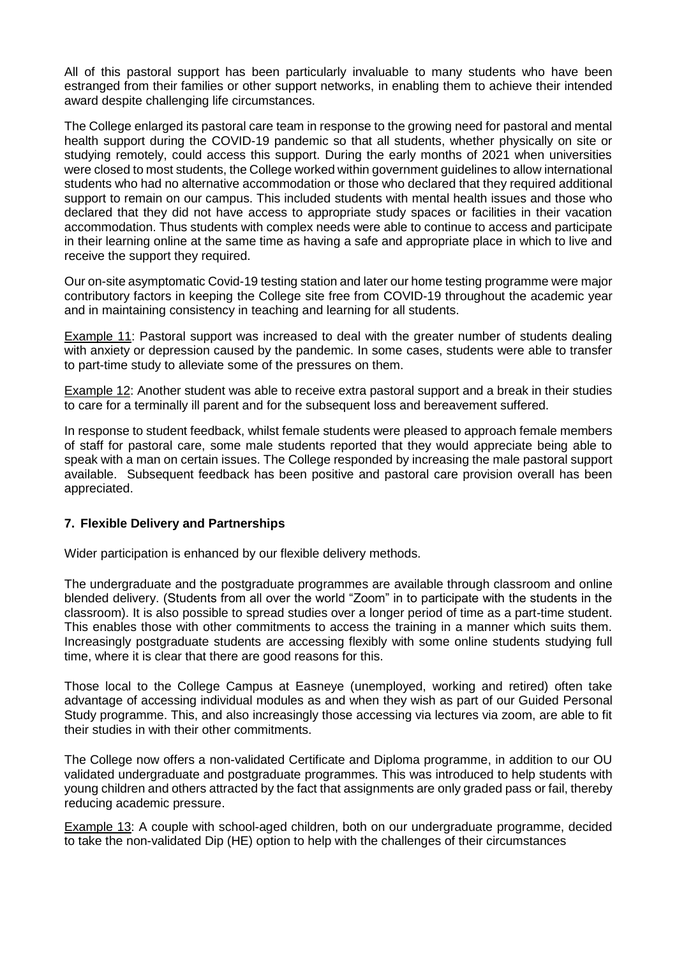All of this pastoral support has been particularly invaluable to many students who have been estranged from their families or other support networks, in enabling them to achieve their intended award despite challenging life circumstances.

The College enlarged its pastoral care team in response to the growing need for pastoral and mental health support during the COVID-19 pandemic so that all students, whether physically on site or studying remotely, could access this support. During the early months of 2021 when universities were closed to most students, the College worked within government guidelines to allow international students who had no alternative accommodation or those who declared that they required additional support to remain on our campus. This included students with mental health issues and those who declared that they did not have access to appropriate study spaces or facilities in their vacation accommodation. Thus students with complex needs were able to continue to access and participate in their learning online at the same time as having a safe and appropriate place in which to live and receive the support they required.

Our on-site asymptomatic Covid-19 testing station and later our home testing programme were major contributory factors in keeping the College site free from COVID-19 throughout the academic year and in maintaining consistency in teaching and learning for all students.

Example 11: Pastoral support was increased to deal with the greater number of students dealing with anxiety or depression caused by the pandemic. In some cases, students were able to transfer to part-time study to alleviate some of the pressures on them.

Example 12: Another student was able to receive extra pastoral support and a break in their studies to care for a terminally ill parent and for the subsequent loss and bereavement suffered.

In response to student feedback, whilst female students were pleased to approach female members of staff for pastoral care, some male students reported that they would appreciate being able to speak with a man on certain issues. The College responded by increasing the male pastoral support available. Subsequent feedback has been positive and pastoral care provision overall has been appreciated.

#### **7. Flexible Delivery and Partnerships**

Wider participation is enhanced by our flexible delivery methods.

The undergraduate and the postgraduate programmes are available through classroom and online blended delivery. (Students from all over the world "Zoom" in to participate with the students in the classroom). It is also possible to spread studies over a longer period of time as a part-time student. This enables those with other commitments to access the training in a manner which suits them. Increasingly postgraduate students are accessing flexibly with some online students studying full time, where it is clear that there are good reasons for this.

Those local to the College Campus at Easneye (unemployed, working and retired) often take advantage of accessing individual modules as and when they wish as part of our Guided Personal Study programme. This, and also increasingly those accessing via lectures via zoom, are able to fit their studies in with their other commitments.

The College now offers a non-validated Certificate and Diploma programme, in addition to our OU validated undergraduate and postgraduate programmes. This was introduced to help students with young children and others attracted by the fact that assignments are only graded pass or fail, thereby reducing academic pressure.

Example 13: A couple with school-aged children, both on our undergraduate programme, decided to take the non-validated Dip (HE) option to help with the challenges of their circumstances